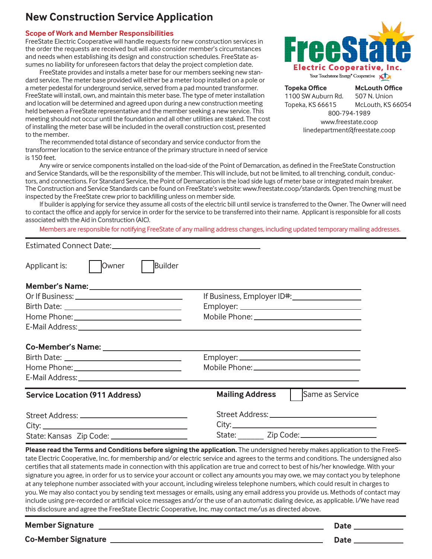#### **Scope of Work and Member Responsibilities**

FreeState Electric Cooperative will handle requests for new construction services in the order the requests are received but will also consider member's circumstances and needs when establishing its design and construction schedules. FreeState assumes no liability for unforeseen factors that delay the project completion date.

FreeState provides and installs a meter base for our members seeking new standard service. The meter base provided will either be a meter loop installed on a pole or a meter pedestal for underground service, served from a pad mounted transformer. FreeState will install, own, and maintain this meter base. The type of meter installation and location will be determined and agreed upon during a new construction meeting held between a FreeState representative and the member seeking a new service. This meeting should not occur until the foundation and all other utilities are staked. The cost of installing the meter base will be included in the overall construction cost, presented to the member.

The recommended total distance of secondary and service conductor from the transformer location to the service entrance of the primary structure in need of service is 150 feet.



**Topeka Office** 1100 SW Auburn Rd. Topeka, KS 66615 **McLouth Office** 507 N. Union McLouth, KS 66054 800-794-1989 www.freestate.coop linedepartment@freestate.coop

Any wire or service components installed on the load-side of the Point of Demarcation, as defined in the FreeState Construction and Service Standards, will be the responsibility of the member. This will include, but not be limited, to all trenching, conduit, conductors, and connections. For Standard Service, the Point of Demarcation is the load side lugs of meter base or integrated main breaker. The Construction and Service Standards can be found on FreeState's website: www.freestate.coop/standards. Open trenching must be inspected by the FreeState crew prior to backfilling unless on member side.

If builder is applying for service they assume all costs of the electric bill until service is transferred to the Owner. The Owner will need to contact the office and apply for service in order for the service to be transferred into their name. Applicant is responsible for all costs associated with the Aid in Construction (AIC).

Members are responsible for notifying FreeState of any mailing address changes, including updated temporary mailing addresses.

| State: Kansas Zip Code: ______________________ |                                                                                                                      |                                          |  |
|------------------------------------------------|----------------------------------------------------------------------------------------------------------------------|------------------------------------------|--|
|                                                |                                                                                                                      |                                          |  |
|                                                |                                                                                                                      |                                          |  |
| <b>Service Location (911 Address)</b>          |                                                                                                                      | <b>Mailing Address</b>   Same as Service |  |
|                                                |                                                                                                                      |                                          |  |
|                                                |                                                                                                                      |                                          |  |
|                                                |                                                                                                                      |                                          |  |
|                                                | <u> 1989 - Johann Stein, marwolaethau a bhann an t-Amhair ann an t-Amhair an t-Amhair an t-Amhair an t-Amhair an</u> |                                          |  |
|                                                |                                                                                                                      |                                          |  |
|                                                |                                                                                                                      |                                          |  |
|                                                |                                                                                                                      |                                          |  |
|                                                |                                                                                                                      | If Business, Employer ID#: 1999 1999     |  |
|                                                |                                                                                                                      |                                          |  |
| Applicant is:<br>Owner                         | <b>Builder</b>                                                                                                       |                                          |  |
|                                                |                                                                                                                      |                                          |  |

tate Electric Cooperative, Inc. for membership and/or electric service and agrees to the terms and conditions. The undersigned also certifies that all statements made in connection with this application are true and correct to best of his/her knowledge. With your signature you agree, in order for us to service your account or collect any amounts you may owe, we may contact you by telephone at any telephone number associated with your account, including wireless telephone numbers, which could result in charges to you. We may also contact you by sending text messages or emails, using any email address you provide us. Methods of contact may include using pre-recorded or artificial voice messages and/or the use of an automatic dialing device, as applicable. I/We have read this disclosure and agree the FreeState Electric Cooperative, Inc. may contact me/us as directed above.

**Member Signature LEGEE CONSIDERING CONSIDERING CONSIDERING CONSIDERING CONSIDERING CONSIDERING CONSIDERING CONSIDERING CONSIDERING CONSIDERING CONSIDERING CONSIDERING CONSIDERING CONSIDERING CONSIDERING CONSIDERING CONS Co-Member Signature Date**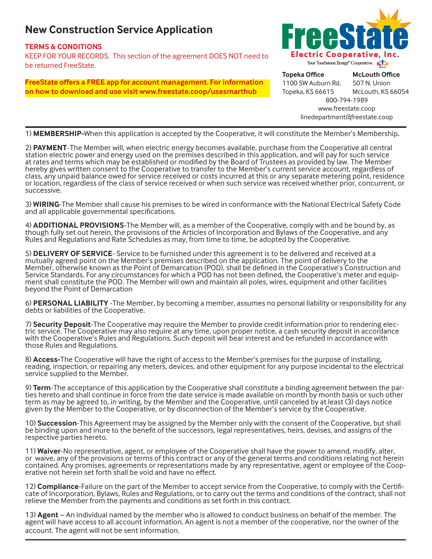### **TERMS & CONDITIONS**

KEEP FOR YOUR RECORDS. This section of the agreement DOES NOT need to be returned FreeState.

**FreeState offers a FREE app for account management. For information on how to download and use visit www.freestate.coop/usesmarthub**



**Topeka Office** 1100 SW Auburn Rd. Topeka, KS 66615 **McLouth Office** 507 N. Union McLouth, KS 66054 800-794-1989 www.freestate.coop linedepartment@freestate.coop

1) **MEMBERSHIP-**When this application is accepted by the Cooperative, it will constitute the Member's Membership**.**

2) **PAYMENT**-The Member will, when electric energy becomes available, purchase from the Cooperative all central station electric power and energy used on the premises described in this application, and will pay for such service at rates and terms which may be established or modified by the Board of Trustees as provided by law. The Member hereby gives written consent to the Cooperative to transfer to the Member's current service account, regardless of class, any unpaid balance owed for service received or costs incurred at this or any separate metering point, residence or location, regardless of the class of service received or when such service was received whether prior, concurrent, or successive.

3) **WIRING**-The Member shall cause his premises to be wired in conformance with the National Electrical Safety Code and all applicable governmental specifications.

4) **ADDITIONAL PROVISIONS**-The Member will, as a member of the Cooperative, comply with and be bound by, as though fully set out herein, the provisions of the Articles of Incorporation and Bylaws of the Cooperative, and any Rules and Regulations and Rate Schedules as may, from time to time, be adopted by the Cooperative.

5) **DELIVERY OF SERVICE**- Service to be furnished under this agreement is to be delivered and received at a mutually agreed point on the Member's premises described on the application. The point of delivery to the Member, otherwise known as the Point of Demarcation (POD), shall be defined in the Cooperative's Construction and Service Standards. For any circumstances for which a POD has not been defined, the Cooperative's meter and equip-<br>ment shall constitute the POD. The Member will own and maintain all poles, wires, equipment and other facili beyond the Point of Demarcation

6) **PERSONAL LIABILITY** -The Member, by becoming a member, assumes no personal liability or responsibility for any debts or liabilities of the Cooperative.

7) Security Deposit-The Cooperative may require the Member to provide credit information prior to rendering electric service. The Cooperative may also require at any time, upon proper notice, a cash security deposit in acc with the Cooperative's Rules and Regulations. Such deposit will bear interest and be refunded in accordance with those Rules and Regulations.

8) **Access-**The Cooperative will have the right of access to the Member's premises for the purpose of installing, reading, inspection, or repairing any meters, devices, and other equipment for any purpose incidental to the electrical service supplied to the Member.

9) Term-The acceptance of this application by the Cooperative shall constitute a binding agreement between the par-<br>ties hereto and shall continue in force from the date service is made available on month by month basis or term as may be agreed to, in writing, by the Member and the Cooperative, until canceled by at least (3) days notice given by the Member to the Cooperative, or by disconnection of the Member's service by the Cooperative.

10) **Succession**-This Agreement may be assigned by the Member only with the consent of the Cooperative, but shall be binding upon and inure to the benefit of the successors, legal representatives, heirs, devises, and assigns of the respective parties hereto.

11) **Waiver**-No representative, agent, or employee of the Cooperative shall have the power to amend, modify, alter, or waive, any of the provisions or terms of this contract or any of the general terms and conditions relating not herein contained. Any promises, agreements or representations made by any representative, agent or employee of the Coop- erative not herein set forth shall be void and have no effect.

12) **Compliance**-Failure on the part of the Member to accept service from the Cooperative, to comply with the Certifi-<br>cate of Incorporation, Bylaws, Rules and Regulations, or to carry out the terms and conditions of the c relieve the Member from the payments and conditions as set forth in this contract.

13) **Agent** – An individual named by the member who is allowed to conduct business on behalf of the member. The agent will have access to all account information. An agent is not a member of the cooperative, nor the owner of the account. The agent will not be sent information.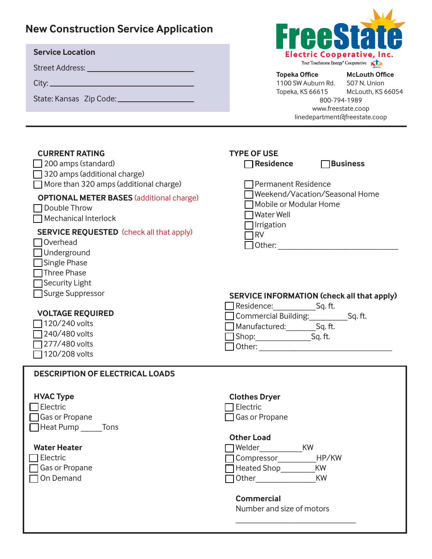| <b>New Construction Service Application</b><br><b>Service Location</b>                                                                                                                                                                                                                                                                                                                                                                                                                   | Freest<br><b>Electric Cooperative, Inc.</b><br>Your Touchstone Energy <sup>®</sup> Cooperative<br><b>Topeka Office</b><br><b>McLouth Office</b><br>1100 SW Auburn Rd. 507 N. Union<br>Topeka, KS 66615 McLouth, KS 66054                                                                                                        |
|------------------------------------------------------------------------------------------------------------------------------------------------------------------------------------------------------------------------------------------------------------------------------------------------------------------------------------------------------------------------------------------------------------------------------------------------------------------------------------------|---------------------------------------------------------------------------------------------------------------------------------------------------------------------------------------------------------------------------------------------------------------------------------------------------------------------------------|
|                                                                                                                                                                                                                                                                                                                                                                                                                                                                                          | 800-794-1989<br>www.freestate.coop<br>linedepartment@freestate.coop                                                                                                                                                                                                                                                             |
| <b>CURRENT RATING</b><br>200 amps (standard)<br>320 amps (additional charge)<br>More than 320 amps (additional charge)<br><b>OPTIONAL METER BASES (additional charge)</b><br>Double Throw<br>Mechanical Interlock<br><b>SERVICE REQUESTED</b> (check all that apply)<br>Overhead<br>$\Box$ Underground<br>$\Box$ Single Phase<br>Three Phase<br>Security Light<br>Surge Suppressor<br><b>VOLTAGE REQUIRED</b><br>$\Box$ 120/240 volts<br>240/480 volts<br>277/480 volts<br>120/208 volts | <b>TYPE OF USE</b><br><b>Business</b><br>$\Box$ Residence<br><b>Permanent Residence</b><br>Weekend/Vacation/Seasonal Home<br>Mobile or Modular Home<br><b>Water Well</b><br>Irrigation<br><b>RV</b><br><b>SERVICE INFORMATION (check all that apply)</b><br>Commercial Building: ______________Sq. ft.<br>Manufactured: Sq. ft. |
| <b>DESCRIPTION OF ELECTRICAL LOADS</b><br><b>HVAC Type</b><br>Electric                                                                                                                                                                                                                                                                                                                                                                                                                   | <b>Clothes Dryer</b><br>Electric                                                                                                                                                                                                                                                                                                |
| Gas or Propane<br>$\Box$ Heat Pump ________ Tons<br><b>Water Heater</b><br>Electric<br>Gas or Propane<br>On Demand                                                                                                                                                                                                                                                                                                                                                                       | Gas or Propane<br><b>Other Load</b><br>Welder KW<br>Compressor__________HP/KW<br>Heated Shop_________<br><b>KW</b><br><b>KW</b><br><b>Commercial</b><br>Number and size of motors                                                                                                                                               |